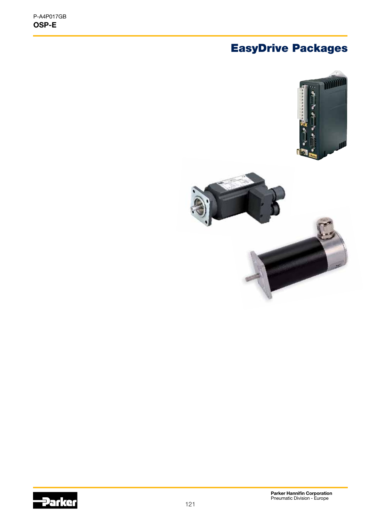# EasyDrive Packages





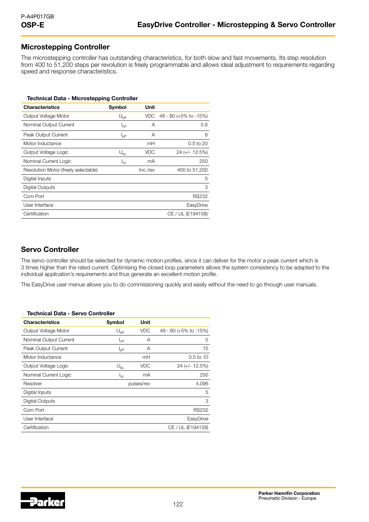# Microstepping Controller

The microstepping controller has outstanding characteristics, for both slow and fast movements. Its step resolution from 400 to 51,200 steps per revolution is freely programmable and allows ideal adjustment to requirements regarding speed and response characteristics.

# Technical Data - Microstepping Controller

| <b>Characteristics</b>               | Symbol          | Unit       |                               |
|--------------------------------------|-----------------|------------|-------------------------------|
| Output Voltage Motor                 | $U_{\text{bP}}$ |            | VDC $48 - 80 (+5\% to -15\%)$ |
| Nominal Output Current               | $I_{\text{nP}}$ | Α          | 5.6                           |
| Peak Output Current                  | ים µ            | Α          | 8                             |
| Motor Inductance                     |                 | mH         | $0.5$ to $20$                 |
| Output Voltage Logic                 | $U_{\text{bl}}$ | <b>VDC</b> | 24 (+/- 12.5%)                |
| Nominal Current Logic                | ∣ <sub>nL</sub> | mA         | 250                           |
| Resolution Motor (freely selectable) |                 | Inc./rev   | 400 to 51,200                 |
| Digital Inputs                       |                 |            | 5                             |
| <b>Digital Outputs</b>               |                 |            | 3                             |
| Com Port                             |                 |            | <b>RS232</b>                  |
| User Interface                       |                 |            | EasyDrive                     |
| Certification                        |                 |            | CE / UL (E194158)             |

# Servo Controller

The servo controller should be selected for dynamic motion profiles, since it can deliver for the motor a peak current which is 3 times higher than the rated current. Optimising the closed loop parameters allows the system consistency to be adapted to the individual application's requirements and thus generate an excellent motion profile.

The EasyDrive user menue allows you to do commissioning quickly and easily without the need to go through user manuals.

#### Technical Data - Servo Controller

| <b>Characteristics</b> | Symbol            | Unit       |                       |
|------------------------|-------------------|------------|-----------------------|
| Output Voltage Motor   | $U_{\text{bP}}$   | <b>VDC</b> | 48 - 80 (+5% to -15%) |
| Nominal Output Current | $I_{\sf nP}$      | A          | 5                     |
| Peak Output Current    | $I_{\mathsf{pP}}$ | A          | 15                    |
| Motor Inductance       |                   | mH         | $0.5 \text{ to } 10$  |
| Output Voltage Logic   | $U_{\text{bL}}$   | <b>VDC</b> | 24 (+/- 12.5%)        |
| Nominal Current Logic  | ¦nL               | mA         | 250                   |
| Resolver               |                   | pulses/rev | 4,096                 |
| Digital Inputs         |                   |            | 5                     |
| Digital Outputs        |                   |            | 3                     |
| Com Port               |                   |            | <b>RS232</b>          |
| User Interface         |                   |            | EasyDrive             |
| Certification          |                   |            | CE / UL (E194158)     |

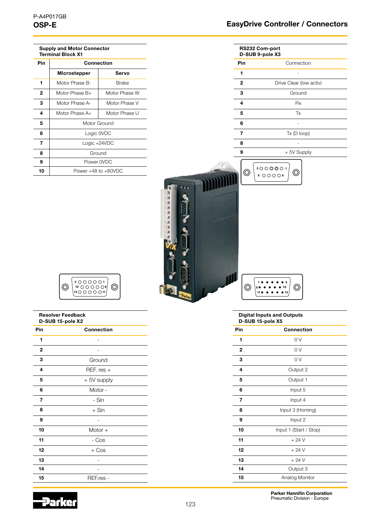Pin

|  |  | <b>EasyDrive Controller / Connectors</b> |
|--|--|------------------------------------------|
|--|--|------------------------------------------|

|                         | <b>Supply and Motor Connector</b><br><b>Terminal Block X1</b>                                  |                   |                  | RS232 Com-port<br>D-SUB 9-pole X3                                                                                                                       |
|-------------------------|------------------------------------------------------------------------------------------------|-------------------|------------------|---------------------------------------------------------------------------------------------------------------------------------------------------------|
| Pin                     |                                                                                                | <b>Connection</b> | Pin              | Connection                                                                                                                                              |
|                         | Microstepper                                                                                   | Servo             | 1                |                                                                                                                                                         |
| $\mathbf{1}$            | Motor Phase B-                                                                                 | <b>Brake</b>      | $\mathbf{2}$     | Drive Clear (low activ)                                                                                                                                 |
| $\overline{\mathbf{2}}$ | Motor Phase B+                                                                                 | Motor Phase W     | $\mathbf 3$      | Ground                                                                                                                                                  |
| 3                       | Motor Phase A-                                                                                 | Motor Phase V     | $\overline{4}$   | <b>Rx</b>                                                                                                                                               |
| 4                       | Motor Phase A+                                                                                 | Motor Phase U     | 5                | Tx                                                                                                                                                      |
| ${\bf 5}$               |                                                                                                | Motor Ground      | $\bf 6$          | ÷,                                                                                                                                                      |
| 6                       |                                                                                                | Logic OVDC        | $\overline{7}$   | Tx (D loop)                                                                                                                                             |
| $\overline{\mathbf{z}}$ |                                                                                                | Logic +24VDC      | 8                |                                                                                                                                                         |
| 8                       |                                                                                                | Ground            | $\boldsymbol{9}$ | +5V Supply                                                                                                                                              |
| 9                       |                                                                                                | Power OVDC        |                  | $5\,\circlearrowright\,\circlearrowright\,\circlearrowleft\,\circlearrowright\,\circlearrowleft\,\circlearrowleft\,\circlearrowright\,\circlearrowleft$ |
|                         |                                                                                                |                   |                  | 900006                                                                                                                                                  |
|                         | $5\circledcirc\circledcirc\circledcirc\circ1$<br>$\circledcirc$<br>10 0 0 0 0 0 6<br>150000011 | $\circledcirc$    | ◎                | $\circledcirc$                                                                                                                                          |

| $\begin{array}{r} 5\circledcirc\circledcirc\circledcirc\circledcirc\;\\ 10\circledcirc\circledcirc\circledcirc\circledcirc\;\\ 15\circledcirc\circledcirc\circledcirc\circledcirc11 \end{array}$ |  |
|--------------------------------------------------------------------------------------------------------------------------------------------------------------------------------------------------|--|
|--------------------------------------------------------------------------------------------------------------------------------------------------------------------------------------------------|--|

| <b>Resolver Feedback</b><br>D-SUB 15-pole X2 |                   |  |
|----------------------------------------------|-------------------|--|
| Pin                                          | <b>Connection</b> |  |
| 1                                            |                   |  |
| $\mathbf{2}$                                 |                   |  |
| 3                                            | Ground            |  |
| 4                                            | REF. res $+$      |  |
| 5                                            | +5V supply        |  |
| 6                                            | Motor -           |  |
| 7                                            | - Sin             |  |
| 8                                            | $+$ Sin           |  |
| 9                                            |                   |  |
| 10                                           | Motor +           |  |
| 11                                           | - Cos             |  |
| 12                                           | + Cos             |  |
| 13                                           |                   |  |
| 14                                           |                   |  |
| 15                                           | REF.res -         |  |

|              | D-SUB 15-pole X5       |
|--------------|------------------------|
| Pin          | <b>Connection</b>      |
| 1            | 0V                     |
| $\mathbf{2}$ | 0 V                    |
| 3            | 0V                     |
| 4            | Output 2               |
| 5            | Output 1               |
| 6            | Input 5                |
| 7            | Input 4                |
| 8            | Input 3 (Homing)       |
| 9            | Input 2                |
| 10           | Input 1 (Start / Stop) |
| 11           | $+24V$                 |
| 12           | $+24V$                 |
| 13           | $+24V$                 |
| 14           | Output 3               |
| 15           | Analog Monitor         |

Digital Inputs and Outputs

**Parker**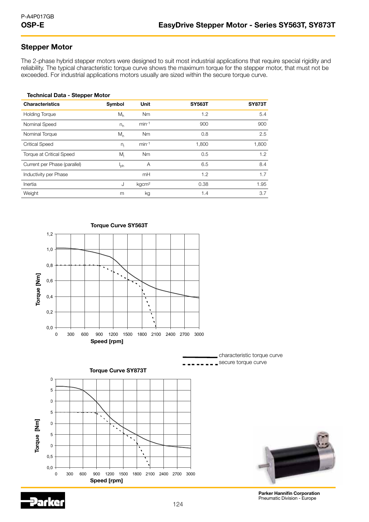# Stepper Motor

The 2-phase hybrid stepper motors were designed to suit most industrial applications that require special rigidity and reliability. The typical characteristic torque curve shows the maximum torque for the stepper motor, that must not be exceeded. For industrial applications motors usually are sized within the secure torque curve.

| <b>Technical Data - Stepper Motor</b> |                 |                   |               |               |
|---------------------------------------|-----------------|-------------------|---------------|---------------|
| <b>Characteristics</b>                | Symbol          | Unit              | <b>SY563T</b> | <b>SY873T</b> |
| <b>Holding Torque</b>                 | $M_h$           | Nm                | 1.2           | 5.4           |
| Nominal Speed                         | $n_{n}$         | $min-1$           | 900           | 900           |
| Nominal Torque                        | $M_n$           | Nm                | 0.8           | 2.5           |
| <b>Critical Speed</b>                 | $n_{\rm I}$     | $min-1$           | 1,800         | 1,800         |
| <b>Torque at Critical Speed</b>       | M,              | Nm                | 0.5           | 1.2           |
| Current per Phase (parallel)          | l <sub>oh</sub> | A                 | 6.5           | 8.4           |
| Inductivity per Phase                 |                 | mH                | 1.2           | 1.7           |
| Inertia                               | J               | kgcm <sup>2</sup> | 0.38          | 1.95          |
| Weight                                | m               | kg                | 1.4           | 3.7           |





Parker Hannifin Corporation Pneumatic Division - Europe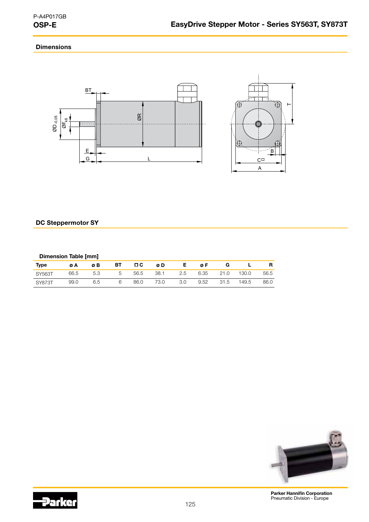# **Dimensions**



# DC Steppermotor SY

|             | Dimension Table [mm] |     |    |                |      |     |      |      |       |      |
|-------------|----------------------|-----|----|----------------|------|-----|------|------|-------|------|
| <b>Type</b> | øΑ                   | øΒ  | вт | $\Box$ $\bf C$ | øΒ   | Е.  | øΕ   | G    |       |      |
| SY563T      | 66.5                 | 5.3 | 5  | 56.5           | 38.1 | 2.5 | 6.35 | 21.0 | 130.0 | 56.5 |
| SY873T      | 99.0                 | 6.5 | 6  | 86.0           | 73.0 | 3.0 | 9.52 | 31.5 | 149.5 | 86.0 |



Parker Hannifin Corporation Pneumatic Division - Europe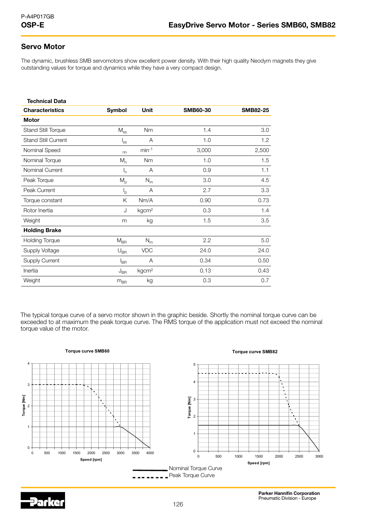# Servo Motor

The dynamic, brushless SMB servomotors show excellent power density. With their high quality Neodym magnets they give outstanding values for torque and dynamics while they have a very compact design.

| <b>Technical Data</b>      |                            |                   |                 |                 |
|----------------------------|----------------------------|-------------------|-----------------|-----------------|
| <b>Characteristics</b>     | Symbol                     | Unit              | <b>SMB60-30</b> | <b>SMB82-25</b> |
| <b>Motor</b>               |                            |                   |                 |                 |
| <b>Stand Still Torque</b>  | $M_{ss}$                   | Nm                | 1.4             | 3.0             |
| <b>Stand Still Current</b> | $I_{SS}$                   | A                 | 1.0             | 1.2             |
| Nominal Speed              | nn                         | $min-1$           | 3,000           | 2,500           |
| Nominal Torque             | $M_n$                      | Nm                | 1.0             | 1.5             |
| Nominal Current            | $\mathsf{I}_{\mathsf{n}}$  | A                 | 0.9             | 1.1             |
| Peak Torque                | $M_{\rm p}$                | $N_m$             | 3.0             | 4.5             |
| Peak Current               | $I_{p}$                    | A                 | 2.7             | 3.3             |
| Torque constant            | K                          | Nm/A              | 0.90            | 0.73            |
| Rotor Inertia              | J                          | kgcm <sup>2</sup> | 0.3             | 1.4             |
| Weight                     | m                          | kg                | 1.5             | 3.5             |
| <b>Holding Brake</b>       |                            |                   |                 |                 |
| <b>Holding Torque</b>      | $M_{BR}$                   | $N_m$             | 2.2             | 5.0             |
| Supply Voltage             | $\mathsf{U}_{\mathsf{BR}}$ | <b>VDC</b>        | 24.0            | 24.0            |
| <b>Supply Current</b>      | <sup>I</sup> BR            | A                 | 0.34            | 0.50            |
| Inertia                    | $J_{BR}$                   | kgcm <sup>2</sup> | 0.13            | 0.43            |
| Weight                     | $m_{\rm BR}$               | kg                | 0.3             | 0.7             |
|                            |                            |                   |                 |                 |

The typical torque curve of a servo motor shown in the graphic beside. Shortly the nominal torque curve can be exceeded to at maximum the peak torque curve. The RMS torque of the application must not exceed the nominal torque value of the motor.



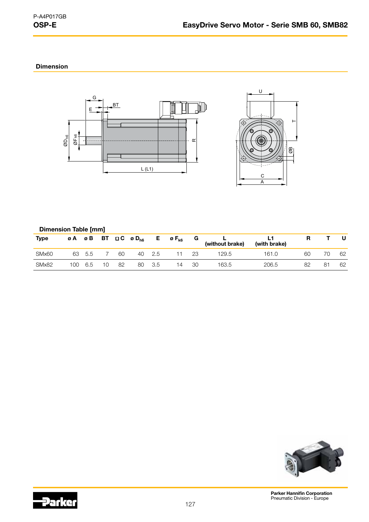# Dimension





# Dimension Table [mm]

| <b>Type</b>        |     |     |    |    | $\boldsymbol{\mathfrak{o}}$ A $\boldsymbol{\mathfrak{o}}$ B BT $\Box$ C $\boldsymbol{\mathfrak{o}}$ D <sub>h6</sub> |      | $E$ ø $F_{k6}$ | G   | (without brake) | (with brake) |    |    |    |
|--------------------|-----|-----|----|----|---------------------------------------------------------------------------------------------------------------------|------|----------------|-----|-----------------|--------------|----|----|----|
| SM <sub>x60</sub>  | 63. | 5.5 |    | 60 | 40                                                                                                                  | -2.5 |                | -23 | 129.5           | 161.0        | 60 |    | 62 |
| SM <sub>x</sub> 82 | 100 | 6.5 | 10 | 82 | 80                                                                                                                  | -3.5 | 14             | 30  | 163.5           | 206.5        | 82 | 81 | 62 |

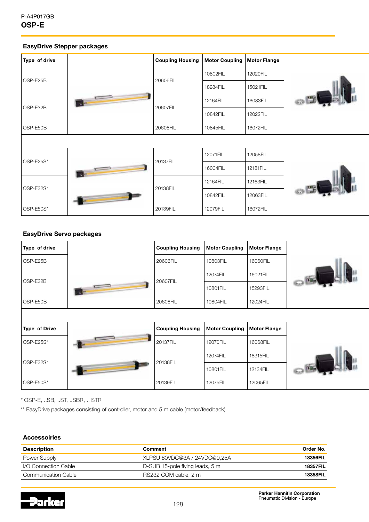# EasyDrive Stepper packages

| Type of drive |                          | <b>Coupling Housing</b> | <b>Motor Coupling</b> | <b>Motor Flange</b> |          |  |
|---------------|--------------------------|-------------------------|-----------------------|---------------------|----------|--|
| OSP-E25B      |                          |                         | 10802FIL              | 12020FIL            | œ<br>639 |  |
|               |                          | 20606FIL                | 18284FIL              | 15021FIL            |          |  |
| OSP-E32B      | $\overline{\phantom{a}}$ |                         | 12164FIL              | 16083FIL            |          |  |
|               |                          | 20607FIL                | 10842FIL              | 12022FIL            |          |  |
| OSP-E50B      |                          | 20608FIL                | 10845FIL              | 16072FIL            |          |  |
|               |                          |                         |                       |                     |          |  |
| OSP-E25S*     |                          | 20137FIL                | 12071FIL              | 12058FIL            | œ<br>63  |  |
|               | $\overline{a}$           |                         | 16004FIL              | 12181FIL            |          |  |
| OSP-E32S*     | ₩                        | 20138FIL                | 12164FIL              | 12163FIL            |          |  |
|               |                          |                         | 10842FIL              | 12063FIL            |          |  |
| OSP-E50S*     |                          | 20139FIL                | 12079FIL              | 16072FIL            |          |  |

# EasyDrive Servo packages

| Type of drive |            | <b>Coupling Housing</b> | <b>Motor Coupling</b> | <b>Motor Flange</b> |               |
|---------------|------------|-------------------------|-----------------------|---------------------|---------------|
| OSP-E25B      |            | 20606FIL                | 10803FIL              | 16060FIL            |               |
| OSP-E32B      |            |                         | 12074FIL              | 16021FIL            | $\sim$ $\sim$ |
|               | $\sqrt{2}$ | 20607FIL                | 10801FIL              | 15293FIL            |               |
| OSP-E50B      |            | 20608FIL                | 10804FIL              | 12024FIL            |               |
|               |            |                         |                       |                     |               |

| Type of Drive | <b>Coupling Housing</b> | Motor Coupling   Motor Flange |          |
|---------------|-------------------------|-------------------------------|----------|
| OSP-E25S*     | 20137FIL                | 12070FIL                      | 16068FIL |
|               |                         | 12074FIL                      | 18315FIL |
| OSP-E32S*     | 20138FIL                | 10801FIL                      | 12134FIL |
| OSP-E50S*     | 20139FIL                | 12075FIL                      | 12065FIL |

\* OSP-E, ..SB, ..ST, ..SBR, .. STR

\*\* EasyDrive packages consisting of controller, motor and 5 m cable (motor/feedback)

# Accessoiries

| <b>Description</b>   | Comment                         | Order No. |
|----------------------|---------------------------------|-----------|
| Power Supply         | XLPSU 80VDC@3A / 24VDC@0.25A    | 18356FIL  |
| I/O Connection Cable | D-SUB 15-pole flying leads, 5 m | 18357FIL  |
| Communication Cable  | RS232 COM cable, 2 m            | 18358FIL  |

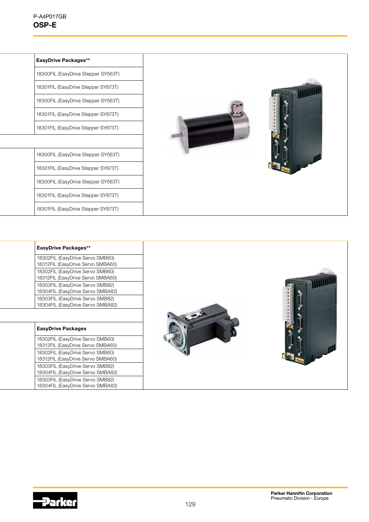|                         | <b>EasyDrive Packages**</b>         |
|-------------------------|-------------------------------------|
|                         | 18300FIL (EasyDrive Stepper SY563T) |
|                         | 18301FIL (EasyDrive Stepper SY873T) |
| $\mathbf{G}$ parameters | 18300FIL (EasyDrive Stepper SY563T) |
|                         | 18301FIL (EasyDrive Stepper SY873T) |
|                         | 18301FIL (EasyDrive Stepper SY873T) |
|                         |                                     |
|                         | 18300FIL (EasyDrive Stepper SY563T) |
|                         | 18301FIL (EasyDrive Stepper SY873T) |
|                         | 18300FIL (EasyDrive Stepper SY563T) |
|                         | 18301FIL (EasyDrive Stepper SY873T) |
|                         | 18301FIL (EasyDrive Stepper SY873T) |

| <b>EasyDrive Packages**</b>                                           |
|-----------------------------------------------------------------------|
| 18302FIL (EasyDrive Servo SMB60)<br>18312FIL (EasyDrive Servo SMBA60) |
| 18302FIL (EasyDrive Servo SMB60)<br>18312FIL (EasyDrive Servo SMBA60) |
| 18303FIL (EasyDrive Servo SMB82)<br>18304FIL (EasyDrive Servo SMBA82) |
| 18303FIL (EasyDrive Servo SMB82)<br>18304FIL (EasyDrive Servo SMBA82) |

| <b>EasyDrive Packages</b>                                             |
|-----------------------------------------------------------------------|
| 18302FIL (EasyDrive Servo SMB60)<br>18312FIL (EasyDrive Servo SMBA60) |
| 18302FIL (EasyDrive Servo SMB60)<br>18312FIL (EasyDrive Servo SMBA60) |
| 18303FIL (EasyDrive Servo SMB82)<br>18304FIL (EasyDrive Servo SMBA82) |
| 18303FIL (EasyDrive Servo SMB82)<br>18304FIL (EasyDrive Servo SMBA82) |



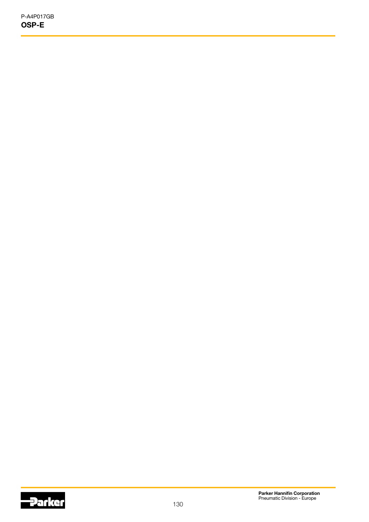P-A4P017GB OSP-E

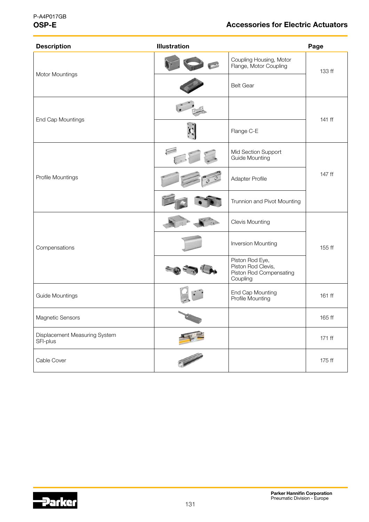| <b>Description</b>                        | <b>Illustration</b> | Page                                                                         |        |  |
|-------------------------------------------|---------------------|------------------------------------------------------------------------------|--------|--|
| Motor Mountings                           |                     | Coupling Housing, Motor<br>Flange, Motor Coupling                            | 133 ff |  |
|                                           |                     | <b>Belt Gear</b>                                                             |        |  |
| End Cap Mountings                         |                     |                                                                              | 141 ff |  |
|                                           |                     | Flange C-E                                                                   |        |  |
|                                           |                     | Mid Section Support<br>Guide Mounting                                        |        |  |
| Profile Mountings                         |                     | Adapter Profile                                                              | 147 ff |  |
|                                           |                     | Trunnion and Pivot Mounting                                                  |        |  |
|                                           |                     | <b>Clevis Mounting</b>                                                       |        |  |
| Compensations                             |                     | Inversion Mounting                                                           | 155 ff |  |
|                                           |                     | Piston Rod Eye,<br>Piston Rod Clevis,<br>Piston Rod Compensating<br>Coupling |        |  |
| <b>Guide Mountings</b>                    |                     | End Cap Mounting<br>Profile Mounting                                         | 161 ff |  |
| Magnetic Sensors                          |                     |                                                                              | 165 ff |  |
| Displacement Measuring System<br>SFI-plus |                     |                                                                              | 171 ff |  |
| Cable Cover                               |                     |                                                                              | 175 ff |  |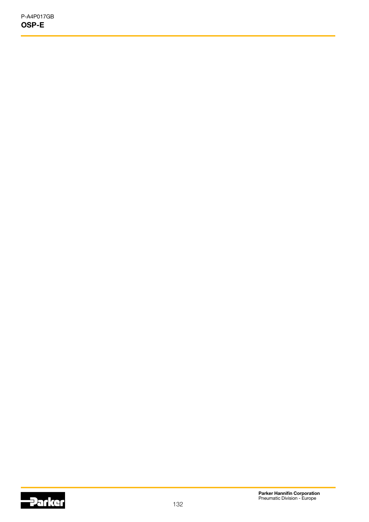P-A4P017GB OSP-E

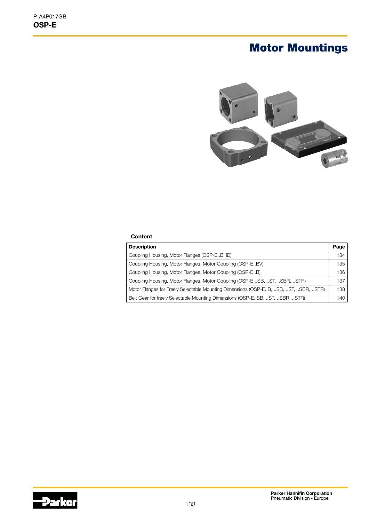# Motor Mountings



#### **Content**

| <b>Description</b>                                                                  | Page             |
|-------------------------------------------------------------------------------------|------------------|
| Coupling Housing, Motor Flanges (OSP-EBHD)                                          | 134              |
| Coupling Housing, Motor Flanges, Motor Coupling (OSP-EBV)                           | 135              |
| Coupling Housing, Motor Flanges, Motor Coupling (OSP-EB)                            | 136              |
| Coupling Housing, Motor Flanges, Motor Coupling (OSP-ESB, ST, SBR, STR)             | 137 <sup>1</sup> |
| Motor Flanges for Freely Selectable Mounting Dimensions (OSP-E.B, SB, ST, SBR, STR) | 138              |
| Belt Gear for freely Selectable Mounting Dimensions (OSP-ESB, ST, SBR, STR)         | 140              |

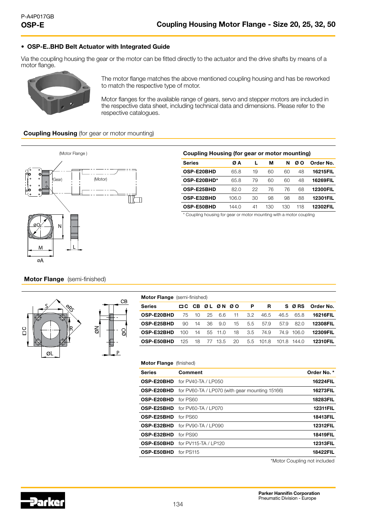## • OSP-E..BHD Belt Actuator with Integrated Guide

Via the coupling housing the gear or the motor can be fitted directly to the actuator and the drive shafts by means of a motor flange.



The motor flange matches the above mentioned coupling housing and has be reworked to match the respective type of motor.

Motor flanges for the available range of gears, servo and stepper motors are included in the respective data sheet, including technical data and dimensions. Please refer to the respective catalogues.

## Coupling Housing (for gear or motor mounting)



| Coupling Housing (for gear or motor mounting)<br>(Motor Flange) |               |       |    |     |     |     |                 |  |
|-----------------------------------------------------------------|---------------|-------|----|-----|-----|-----|-----------------|--|
|                                                                 | <b>Series</b> | ØΑ    |    | м   | N   | øο  | Order No.       |  |
|                                                                 | OSP-E20BHD    | 65.8  | 19 | 60  | 60  | 48  | 16215FIL        |  |
| (Motor)                                                         | OSP-E20BHD*   | 65.8  | 79 | 60  | 60  | 48  | 16269FIL        |  |
|                                                                 | OSP-E25BHD    | 82.0  | 22 | 76  | 76  | 68  | <b>12300FIL</b> |  |
|                                                                 | OSP-E32BHD    | 106.0 | 30 | 98  | 98  | 88  | 12301FIL        |  |
|                                                                 | OSP-E50BHD    | 144.0 | 41 | 130 | 130 | 118 | 12302FIL        |  |

\* Coupling housing for gear or motor mounting with a motor coupling

### Motor Flange (semi-finished)





| <b>Motor Flange</b> (semi-finished) |     |     |     |                 |     |     |       |       |       |           |
|-------------------------------------|-----|-----|-----|-----------------|-----|-----|-------|-------|-------|-----------|
| <b>Series</b>                       | □ C |     |     | CB ØL ØN ØO     |     | P   | R     |       | S ØRS | Order No. |
| OSP-E20BHD                          | 75  | 10. | 25. | 6.6             | 11  | 3.2 | 46.5  | 46.5  | 65.8  | 16216FIL  |
| OSP-E25BHD                          | 90  | -14 | 36  | 9.0             | 15  | 5.5 | 57.9  | 57.9  | 82.0  | 12308FIL  |
| OSP-E32BHD                          | 100 | 14  |     | $55 \quad 11.0$ | 18. | 3.5 | 74.9  | 74.9  | 106.0 | 12309FIL  |
| OSP-F50BHD                          | 125 | 18  | 77  | 13.5            | 20  | 5.5 | 101.8 | 101.8 | 144 O | 12310FIL  |

#### Motor Flange (finished)

| <b>Series</b>               | Comment                                        | Order No. *     |
|-----------------------------|------------------------------------------------|-----------------|
| <b>OSP-E20BHD</b>           | for PV40-TA / LP050                            | 16224FIL        |
| OSP-E20BHD                  | for PV60-TA / LP070 (with gear mounting 15166) | 16273FIL        |
| OSP-E20BHD                  | for PS60                                       | 18283FIL        |
|                             | <b>OSP-E25BHD</b> for PV60-TA / LP070          | <b>12311FIL</b> |
| OSP-E25BHD                  | for PS60                                       | <b>18413FIL</b> |
|                             | <b>OSP-E32BHD</b> for PV90-TA / LP090          | <b>12312FIL</b> |
| OSP-E32BHD                  | for PS90                                       | <b>18419FIL</b> |
|                             | <b>OSP-E50BHD</b> for PV115-TA / LP120         | <b>12313FIL</b> |
| <b>OSP-E50BHD</b> for PS115 |                                                | 18422FIL        |

\*Motor Coupling not included

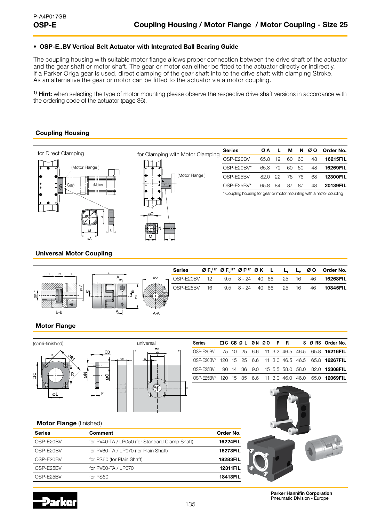## • OSP-E..BV Vertical Belt Actuator with Integrated Ball Bearing Guide

The coupling housing with suitable motor flange allows proper connection between the drive shaft of the actuator and the gear shaft or motor shaft. The gear or motor can either be fitted to the actuator directly or indirectly. If a Parker Origa gear is used, direct clamping of the gear shaft into to the drive shaft with clamping Stroke. As an alternative the gear or motor can be fitted to the actuator via a motor coupling.

<sup>1)</sup> Hint: when selecting the type of motor mounting please observe the respective drive shaft versions in accordance with the ordering code of the actuator (page 36).

# Coupling Housing



## Universal Motor Coupling



#### Motor Flange



| Series                                                         |  |  |  |  | □ C CB Ø L Ø N Ø O P R S Ø RS Order No. |
|----------------------------------------------------------------|--|--|--|--|-----------------------------------------|
| OSP-E20BV 75 10 25 6.6 11 3.2 46.5 46.5 65.8 <b>16216FIL</b>   |  |  |  |  |                                         |
| OSP-E20BV* 120 15 25 6.6 11 3.0 46.5 46.5 65.8 <b>16267FIL</b> |  |  |  |  |                                         |
| OSP-E25BV 90 14 36 9.0 15 5.5 58.0 58.0 82.0 12308FIL          |  |  |  |  |                                         |
| OSP-E25BV* 120 15 35 6.6 11 3.0 46.0 46.0 65.0 <b>12069FIL</b> |  |  |  |  |                                         |

#### Motor Flange (finished)

| <b>Series</b> | Comment                                        | Order No.       |
|---------------|------------------------------------------------|-----------------|
| OSP-E20BV     | for PV40-TA / LP050 (for Standard Clamp Shaft) | 16224FIL        |
| OSP-E20BV     | for PV60-TA / LP070 (for Plain Shaft)          | <b>16273FIL</b> |
| OSP-E20BV     | for PS60 (for Plain Shaft)                     | <b>18283FIL</b> |
| OSP-E25BV     | for PV60-TA / LP070                            | <b>12311FIL</b> |
| OSP-E25BV     | for PS60                                       | <b>18413FIL</b> |